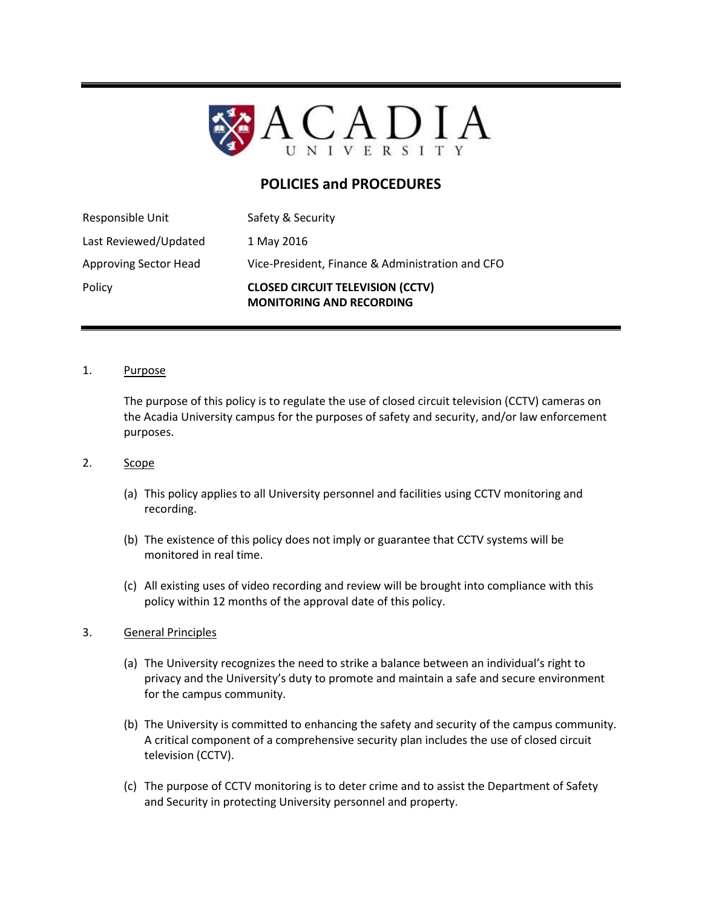

# **POLICIES and PROCEDURES**

| Policy                       | <b>CLOSED CIRCUIT TELEVISION (CCTV)</b><br><b>MONITORING AND RECORDING</b> |
|------------------------------|----------------------------------------------------------------------------|
| <b>Approving Sector Head</b> | Vice-President, Finance & Administration and CFO                           |
| Last Reviewed/Updated        | 1 May 2016                                                                 |
| Responsible Unit             | Safety & Security                                                          |

#### 1. Purpose

The purpose of this policy is to regulate the use of closed circuit television (CCTV) cameras on the Acadia University campus for the purposes of safety and security, and/or law enforcement purposes.

#### 2. Scope

- (a) This policy applies to all University personnel and facilities using CCTV monitoring and recording.
- (b) The existence of this policy does not imply or guarantee that CCTV systems will be monitored in real time.
- (c) All existing uses of video recording and review will be brought into compliance with this policy within 12 months of the approval date of this policy.

## 3. General Principles

- (a) The University recognizes the need to strike a balance between an individual's right to privacy and the University's duty to promote and maintain a safe and secure environment for the campus community.
- (b) The University is committed to enhancing the safety and security of the campus community. A critical component of a comprehensive security plan includes the use of closed circuit television (CCTV).
- (c) The purpose of CCTV monitoring is to deter crime and to assist the Department of Safety and Security in protecting University personnel and property.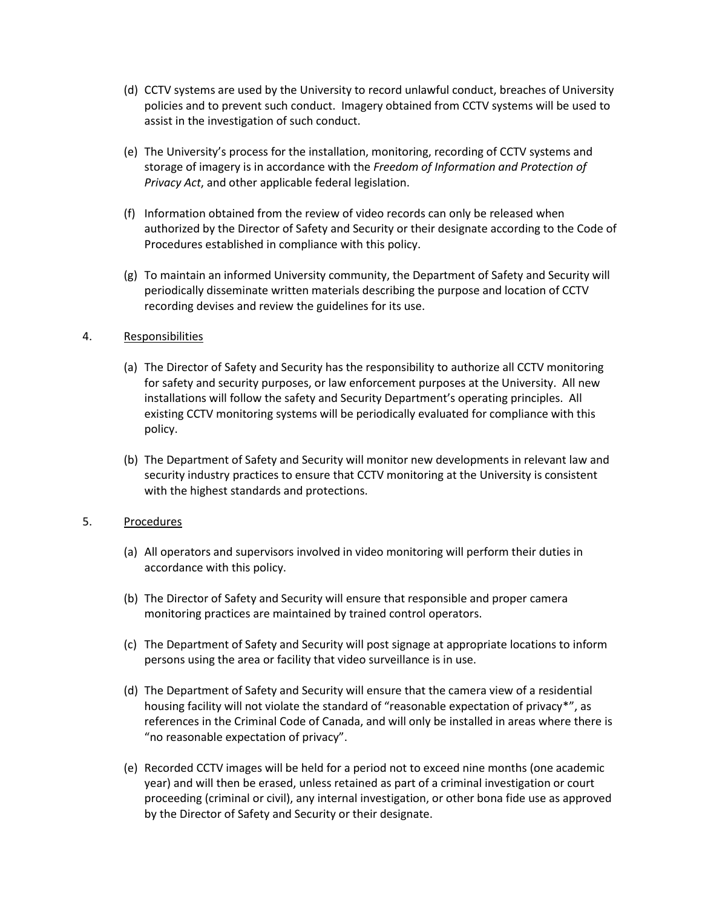- (d) CCTV systems are used by the University to record unlawful conduct, breaches of University policies and to prevent such conduct. Imagery obtained from CCTV systems will be used to assist in the investigation of such conduct.
- (e) The University's process for the installation, monitoring, recording of CCTV systems and storage of imagery is in accordance with the *Freedom of Information and Protection of Privacy Act*, and other applicable federal legislation.
- (f) Information obtained from the review of video records can only be released when authorized by the Director of Safety and Security or their designate according to the Code of Procedures established in compliance with this policy.
- (g) To maintain an informed University community, the Department of Safety and Security will periodically disseminate written materials describing the purpose and location of CCTV recording devises and review the guidelines for its use.

## 4. Responsibilities

- (a) The Director of Safety and Security has the responsibility to authorize all CCTV monitoring for safety and security purposes, or law enforcement purposes at the University. All new installations will follow the safety and Security Department's operating principles. All existing CCTV monitoring systems will be periodically evaluated for compliance with this policy.
- (b) The Department of Safety and Security will monitor new developments in relevant law and security industry practices to ensure that CCTV monitoring at the University is consistent with the highest standards and protections.

## 5. Procedures

- (a) All operators and supervisors involved in video monitoring will perform their duties in accordance with this policy.
- (b) The Director of Safety and Security will ensure that responsible and proper camera monitoring practices are maintained by trained control operators.
- (c) The Department of Safety and Security will post signage at appropriate locations to inform persons using the area or facility that video surveillance is in use.
- (d) The Department of Safety and Security will ensure that the camera view of a residential housing facility will not violate the standard of "reasonable expectation of privacy\*", as references in the Criminal Code of Canada, and will only be installed in areas where there is "no reasonable expectation of privacy".
- (e) Recorded CCTV images will be held for a period not to exceed nine months (one academic year) and will then be erased, unless retained as part of a criminal investigation or court proceeding (criminal or civil), any internal investigation, or other bona fide use as approved by the Director of Safety and Security or their designate.